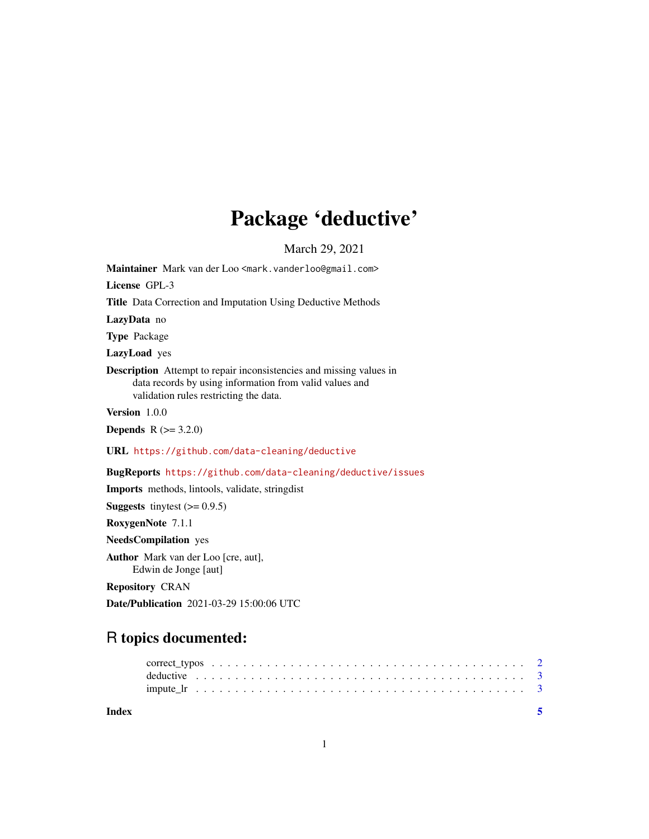## Package 'deductive'

March 29, 2021

<span id="page-0-0"></span>Maintainer Mark van der Loo <mark.vanderloo@gmail.com> License GPL-3 Title Data Correction and Imputation Using Deductive Methods LazyData no Type Package LazyLoad yes Description Attempt to repair inconsistencies and missing values in data records by using information from valid values and validation rules restricting the data. Version 1.0.0 **Depends** R  $(>= 3.2.0)$ URL <https://github.com/data-cleaning/deductive> BugReports <https://github.com/data-cleaning/deductive/issues> Imports methods, lintools, validate, stringdist **Suggests** tinytest  $(>= 0.9.5)$ 

RoxygenNote 7.1.1

NeedsCompilation yes

Author Mark van der Loo [cre, aut], Edwin de Jonge [aut]

Repository CRAN

Date/Publication 2021-03-29 15:00:06 UTC

### R topics documented:

| Index |  |  |  |  |  |  |  |  |  |  |  |  |  |  |  |  |  |  |  |  |
|-------|--|--|--|--|--|--|--|--|--|--|--|--|--|--|--|--|--|--|--|--|
|       |  |  |  |  |  |  |  |  |  |  |  |  |  |  |  |  |  |  |  |  |
|       |  |  |  |  |  |  |  |  |  |  |  |  |  |  |  |  |  |  |  |  |

1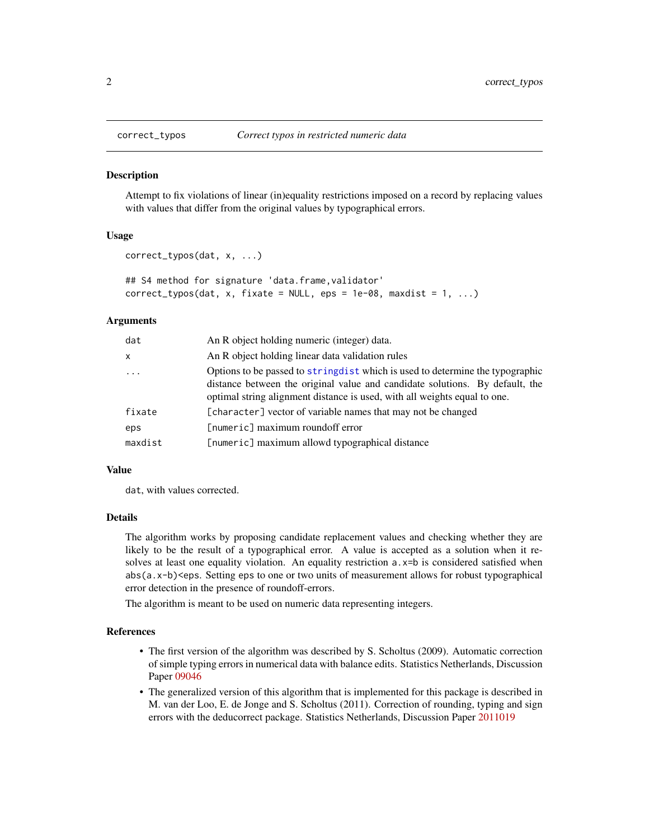<span id="page-1-0"></span>

#### Description

Attempt to fix violations of linear (in)equality restrictions imposed on a record by replacing values with values that differ from the original values by typographical errors.

#### Usage

```
correct_typos(dat, x, ...)
```

```
## S4 method for signature 'data.frame,validator'
correct\_types(data, x, fixate = NULL,eps = 1e-08, maxdist = 1, ...)
```
#### Arguments

| dat      | An R object holding numeric (integer) data.                                                                                                                                                                                                 |
|----------|---------------------------------------------------------------------------------------------------------------------------------------------------------------------------------------------------------------------------------------------|
| x        | An R object holding linear data validation rules                                                                                                                                                                                            |
| $\ddots$ | Options to be passed to string dist which is used to determine the typographic<br>distance between the original value and candidate solutions. By default, the<br>optimal string alignment distance is used, with all weights equal to one. |
| fixate   | [character] vector of variable names that may not be changed                                                                                                                                                                                |
| eps      | [numeric] maximum roundoff error                                                                                                                                                                                                            |
| maxdist  | [numeric] maximum allowd typographical distance                                                                                                                                                                                             |

#### Value

dat, with values corrected.

#### Details

The algorithm works by proposing candidate replacement values and checking whether they are likely to be the result of a typographical error. A value is accepted as a solution when it resolves at least one equality violation. An equality restriction a.  $x=b$  is considered satisfied when abs(a.x-b)<eps. Setting eps to one or two units of measurement allows for robust typographical error detection in the presence of roundoff-errors.

The algorithm is meant to be used on numeric data representing integers.

#### References

- The first version of the algorithm was described by S. Scholtus (2009). Automatic correction of simple typing errors in numerical data with balance edits. Statistics Netherlands, Discussion Paper [09046](https://www.cbs.nl/nl-nl/achtergrond/2009/48/automatic-correction-of-simple-typing-errors-in-numerical-data-with-balance-edits)
- The generalized version of this algorithm that is implemented for this package is described in M. van der Loo, E. de Jonge and S. Scholtus (2011). Correction of rounding, typing and sign errors with the deducorrect package. Statistics Netherlands, Discussion Paper [2011019](https://www.cbs.nl/nl-nl/achtergrond/2011/51/deductive-imputation-with-the-deducorrect-package)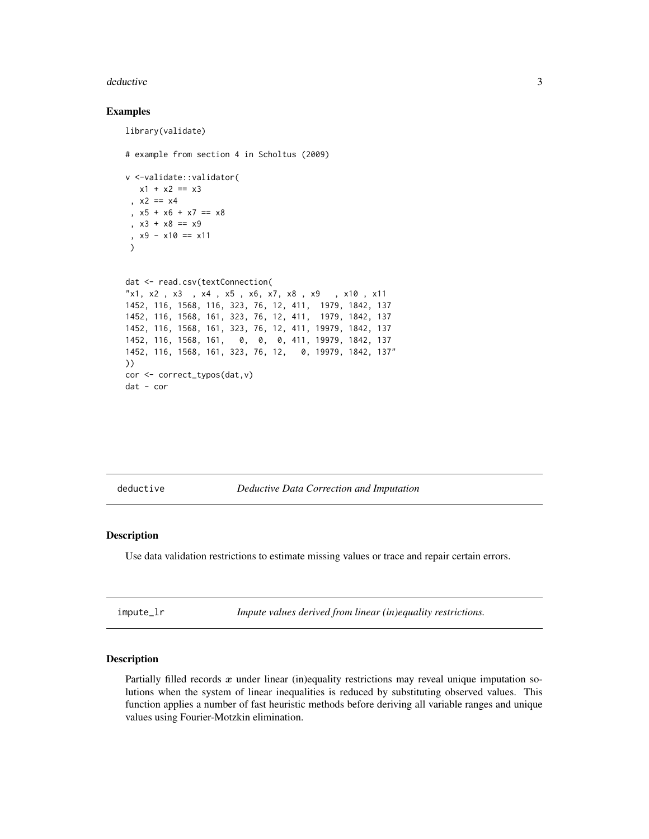#### <span id="page-2-0"></span>deductive 3

#### Examples

```
library(validate)
# example from section 4 in Scholtus (2009)
v <-validate::validator(
  x1 + x2 == x3, x2 == x4, x5 + x6 + x7 == x8, x3 + x8 = x9, x9 - x10 == x11)
dat <- read.csv(textConnection(
"x1, x2 , x3 , x4 , x5 , x6, x7, x8 , x9 , x10 , x11
1452, 116, 1568, 116, 323, 76, 12, 411, 1979, 1842, 137
1452, 116, 1568, 161, 323, 76, 12, 411, 1979, 1842, 137
1452, 116, 1568, 161, 323, 76, 12, 411, 19979, 1842, 137
1452, 116, 1568, 161, 0, 0, 0, 411, 19979, 1842, 137
1452, 116, 1568, 161, 323, 76, 12, 0, 19979, 1842, 137"
))
cor <- correct_typos(dat,v)
dat - cor
```
deductive *Deductive Data Correction and Imputation*

#### Description

Use data validation restrictions to estimate missing values or trace and repair certain errors.

impute\_lr *Impute values derived from linear (in)equality restrictions.*

#### Description

Partially filled records  $x$  under linear (in)equality restrictions may reveal unique imputation solutions when the system of linear inequalities is reduced by substituting observed values. This function applies a number of fast heuristic methods before deriving all variable ranges and unique values using Fourier-Motzkin elimination.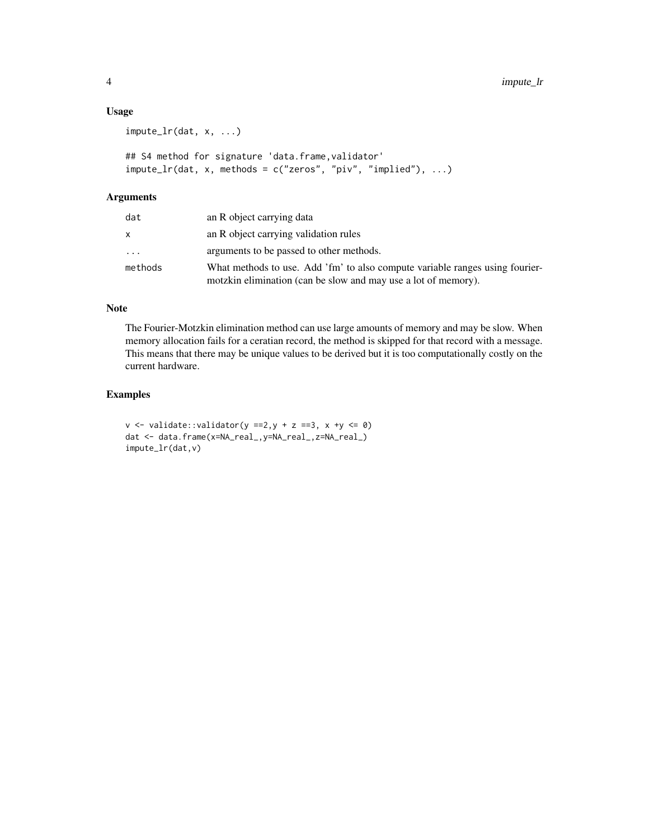#### Usage

```
impute_lr(dat, x, ...)
## S4 method for signature 'data.frame, validator'
impute_lr(dat, x, methods = c("zeros", "piv", "implied"), ...)
```
#### Arguments

| dat     | an R object carrying data                                                                                                                      |
|---------|------------------------------------------------------------------------------------------------------------------------------------------------|
| x.      | an R object carrying validation rules                                                                                                          |
| .       | arguments to be passed to other methods.                                                                                                       |
| methods | What methods to use. Add 'fm' to also compute variable ranges using fourier-<br>motzkin elimination (can be slow and may use a lot of memory). |

#### Note

The Fourier-Motzkin elimination method can use large amounts of memory and may be slow. When memory allocation fails for a ceratian record, the method is skipped for that record with a message. This means that there may be unique values to be derived but it is too computationally costly on the current hardware.

#### Examples

 $v \le v$  validate::validator(y ==2,y + z ==3, x +y  $\le$  0) dat <- data.frame(x=NA\_real\_,y=NA\_real\_,z=NA\_real\_) impute\_lr(dat,v)